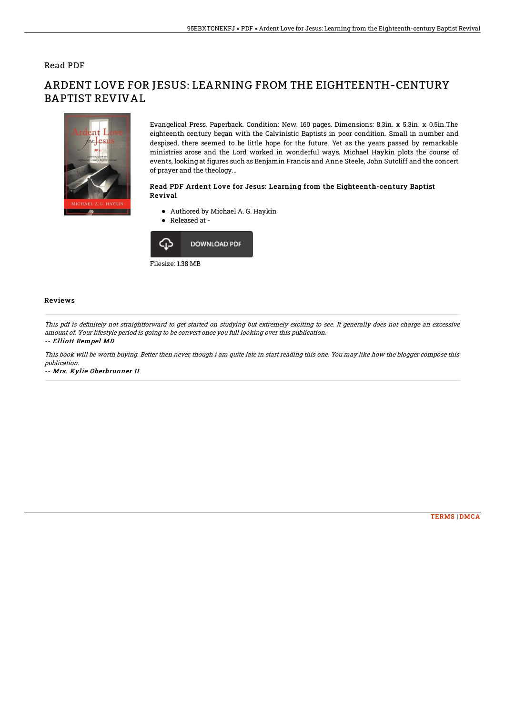## Read PDF



ARDENT LOVE FOR JESUS: LEARNING FROM THE EIGHTEENTH-CENTURY BAPTIST REVIVAL

> Evangelical Press. Paperback. Condition: New. 160 pages. Dimensions: 8.3in. x 5.3in. x 0.5in.The eighteenth century began with the Calvinistic Baptists in poor condition. Small in number and despised, there seemed to be little hope for the future. Yet as the years passed by remarkable ministries arose and the Lord worked in wonderful ways. Michael Haykin plots the course of events, looking at figures such as Benjamin Francis and Anne Steele, John Sutcliff and the concert of prayer and the theology...

### Read PDF Ardent Love for Jesus: Learning from the Eighteenth-century Baptist Revival

- Authored by Michael A. G. Haykin
- Released at -



### Reviews

This pdf is definitely not straightforward to get started on studying but extremely exciting to see. It generally does not charge an excessive amount of. Your lifestyle period is going to be convert once you full looking over this publication.

#### -- Elliott Rempel MD

This book will be worth buying. Better then never, though i am quite late in start reading this one. You may like how the blogger compose this publication.

-- Mrs. Kylie Oberbrunner II